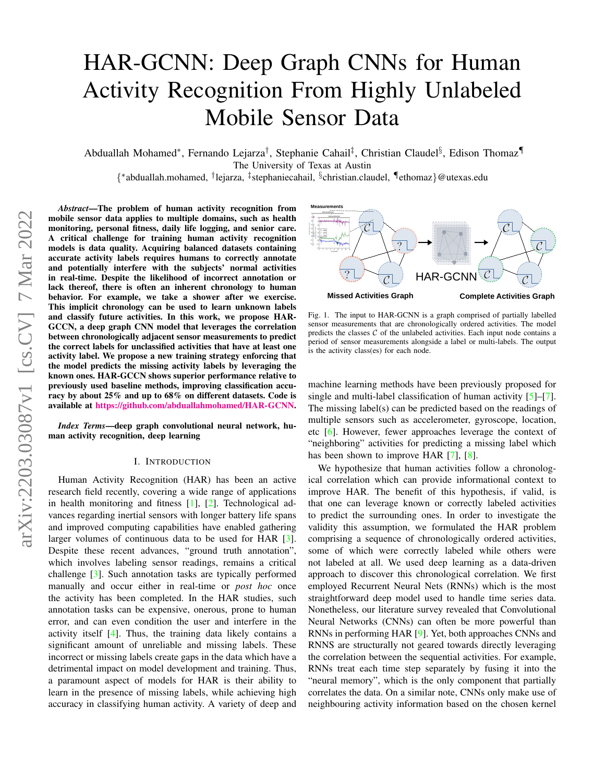# <span id="page-0-0"></span>HAR-GCNN: Deep Graph CNNs for Human Activity Recognition From Highly Unlabeled Mobile Sensor Data

Abduallah Mohamed\*, Fernando Lejarza<sup>†</sup>, Stephanie Cahail<sup>‡</sup>, Christian Claudel§, Edison Thomaz¶ The University of Texas at Austin

{ ∗ abduallah.mohamed, † lejarza, ‡ stephaniecahail, § christian.claudel, ¶ethomaz}@utexas.edu

*Abstract*—The problem of human activity recognition from mobile sensor data applies to multiple domains, such as health monitoring, personal fitness, daily life logging, and senior care. A critical challenge for training human activity recognition models is data quality. Acquiring balanced datasets containing accurate activity labels requires humans to correctly annotate and potentially interfere with the subjects' normal activities in real-time. Despite the likelihood of incorrect annotation or lack thereof, there is often an inherent chronology to human behavior. For example, we take a shower after we exercise. This implicit chronology can be used to learn unknown labels and classify future activities. In this work, we propose HAR-GCCN, a deep graph CNN model that leverages the correlation between chronologically adjacent sensor measurements to predict the correct labels for unclassified activities that have at least one activity label. We propose a new training strategy enforcing that the model predicts the missing activity labels by leveraging the known ones. HAR-GCCN shows superior performance relative to previously used baseline methods, improving classification accuracy by about 25% and up to 68% on different datasets. Code is available at [https://github.com/abduallahmohamed/HAR-GCNN.](https://github.com/abduallahmohamed/HAR-GCNN)

*Index Terms*—deep graph convolutional neural network, human activity recognition, deep learning

#### I. INTRODUCTION

Human Activity Recognition (HAR) has been an active research field recently, covering a wide range of applications in health monitoring and fitness [\[1\]](#page-5-0), [\[2\]](#page-5-1). Technological advances regarding inertial sensors with longer battery life spans and improved computing capabilities have enabled gathering larger volumes of continuous data to be used for HAR [\[3\]](#page-5-2). Despite these recent advances, "ground truth annotation", which involves labeling sensor readings, remains a critical challenge [\[3\]](#page-5-2). Such annotation tasks are typically performed manually and occur either in real-time or *post hoc* once the activity has been completed. In the HAR studies, such annotation tasks can be expensive, onerous, prone to human error, and can even condition the user and interfere in the activity itself  $[4]$ . Thus, the training data likely contains a significant amount of unreliable and missing labels. These incorrect or missing labels create gaps in the data which have a detrimental impact on model development and training. Thus, a paramount aspect of models for HAR is their ability to learn in the presence of missing labels, while achieving high accuracy in classifying human activity. A variety of deep and



Fig. 1. The input to HAR-GCNN is a graph comprised of partially labelled sensor measurements that are chronologically ordered activities. The model predicts the classes  $C$  of the unlabeled activities. Each input node contains a period of sensor measurements alongside a label or multi-labels. The output is the activity class(es) for each node.

machine learning methods have been previously proposed for single and multi-label classification of human activity [\[5\]](#page-5-4)–[\[7\]](#page-5-5). The missing label(s) can be predicted based on the readings of multiple sensors such as accelerometer, gyroscope, location, etc [\[6\]](#page-5-6). However, fewer approaches leverage the context of "neighboring" activities for predicting a missing label which has been shown to improve HAR [\[7\]](#page-5-5), [\[8\]](#page-5-7).

We hypothesize that human activities follow a chronological correlation which can provide informational context to improve HAR. The benefit of this hypothesis, if valid, is that one can leverage known or correctly labeled activities to predict the surrounding ones. In order to investigate the validity this assumption, we formulated the HAR problem comprising a sequence of chronologically ordered activities, some of which were correctly labeled while others were not labeled at all. We used deep learning as a data-driven approach to discover this chronological correlation. We first employed Recurrent Neural Nets (RNNs) which is the most straightforward deep model used to handle time series data. Nonetheless, our literature survey revealed that Convolutional Neural Networks (CNNs) can often be more powerful than RNNs in performing HAR [\[9\]](#page-5-8). Yet, both approaches CNNs and RNNS are structurally not geared towards directly leveraging the correlation between the sequential activities. For example, RNNs treat each time step separately by fusing it into the "neural memory", which is the only component that partially correlates the data. On a similar note, CNNs only make use of neighbouring activity information based on the chosen kernel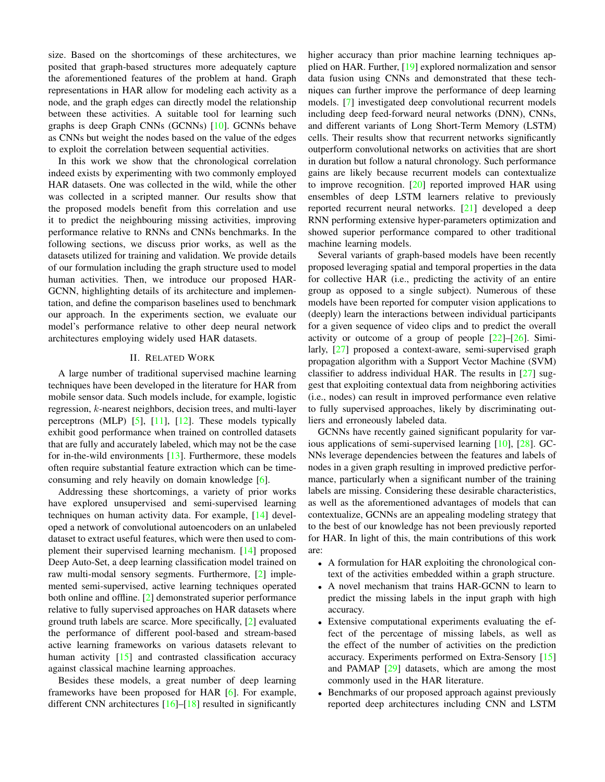<span id="page-1-0"></span>size. Based on the shortcomings of these architectures, we posited that graph-based structures more adequately capture the aforementioned features of the problem at hand. Graph representations in HAR allow for modeling each activity as a node, and the graph edges can directly model the relationship between these activities. A suitable tool for learning such graphs is deep Graph CNNs (GCNNs) [\[10\]](#page-5-9). GCNNs behave as CNNs but weight the nodes based on the value of the edges to exploit the correlation between sequential activities.

In this work we show that the chronological correlation indeed exists by experimenting with two commonly employed HAR datasets. One was collected in the wild, while the other was collected in a scripted manner. Our results show that the proposed models benefit from this correlation and use it to predict the neighbouring missing activities, improving performance relative to RNNs and CNNs benchmarks. In the following sections, we discuss prior works, as well as the datasets utilized for training and validation. We provide details of our formulation including the graph structure used to model human activities. Then, we introduce our proposed HAR-GCNN, highlighting details of its architecture and implementation, and define the comparison baselines used to benchmark our approach. In the experiments section, we evaluate our model's performance relative to other deep neural network architectures employing widely used HAR datasets.

## II. RELATED WORK

A large number of traditional supervised machine learning techniques have been developed in the literature for HAR from mobile sensor data. Such models include, for example, logistic regression, k-nearest neighbors, decision trees, and multi-layer perceptrons (MLP) [\[5\]](#page-5-4), [\[11\]](#page-5-10), [\[12\]](#page-5-11). These models typically exhibit good performance when trained on controlled datasets that are fully and accurately labeled, which may not be the case for in-the-wild environments [\[13\]](#page-5-12). Furthermore, these models often require substantial feature extraction which can be timeconsuming and rely heavily on domain knowledge [\[6\]](#page-5-6).

Addressing these shortcomings, a variety of prior works have explored unsupervised and semi-supervised learning techniques on human activity data. For example, [\[14\]](#page-5-13) developed a network of convolutional autoencoders on an unlabeled dataset to extract useful features, which were then used to complement their supervised learning mechanism. [\[14\]](#page-5-13) proposed Deep Auto-Set, a deep learning classification model trained on raw multi-modal sensory segments. Furthermore, [\[2\]](#page-5-1) implemented semi-supervised, active learning techniques operated both online and offline. [\[2\]](#page-5-1) demonstrated superior performance relative to fully supervised approaches on HAR datasets where ground truth labels are scarce. More specifically, [\[2\]](#page-5-1) evaluated the performance of different pool-based and stream-based active learning frameworks on various datasets relevant to human activity  $\begin{bmatrix} 15 \end{bmatrix}$  and contrasted classification accuracy against classical machine learning approaches.

Besides these models, a great number of deep learning frameworks have been proposed for HAR [\[6\]](#page-5-6). For example, different CNN architectures [\[16\]](#page-5-15)–[\[18\]](#page-5-16) resulted in significantly higher accuracy than prior machine learning techniques applied on HAR. Further, [\[19\]](#page-5-17) explored normalization and sensor data fusion using CNNs and demonstrated that these techniques can further improve the performance of deep learning models. [\[7\]](#page-5-5) investigated deep convolutional recurrent models including deep feed-forward neural networks (DNN), CNNs, and different variants of Long Short-Term Memory (LSTM) cells. Their results show that recurrent networks significantly outperform convolutional networks on activities that are short in duration but follow a natural chronology. Such performance gains are likely because recurrent models can contextualize to improve recognition. [\[20\]](#page-5-18) reported improved HAR using ensembles of deep LSTM learners relative to previously reported recurrent neural networks. [\[21\]](#page-5-19) developed a deep RNN performing extensive hyper-parameters optimization and showed superior performance compared to other traditional machine learning models.

Several variants of graph-based models have been recently proposed leveraging spatial and temporal properties in the data for collective HAR (i.e., predicting the activity of an entire group as opposed to a single subject). Numerous of these models have been reported for computer vision applications to (deeply) learn the interactions between individual participants for a given sequence of video clips and to predict the overall activity or outcome of a group of people  $[22]$ – $[26]$ . Similarly, [\[27\]](#page-5-22) proposed a context-aware, semi-supervised graph propagation algorithm with a Support Vector Machine (SVM) classifier to address individual HAR. The results in [\[27\]](#page-5-22) suggest that exploiting contextual data from neighboring activities (i.e., nodes) can result in improved performance even relative to fully supervised approaches, likely by discriminating outliers and erroneously labeled data.

GCNNs have recently gained significant popularity for various applications of semi-supervised learning [\[10\]](#page-5-9), [\[28\]](#page-5-23). GC-NNs leverage dependencies between the features and labels of nodes in a given graph resulting in improved predictive performance, particularly when a significant number of the training labels are missing. Considering these desirable characteristics, as well as the aforementioned advantages of models that can contextualize, GCNNs are an appealing modeling strategy that to the best of our knowledge has not been previously reported for HAR. In light of this, the main contributions of this work are:

- A formulation for HAR exploiting the chronological context of the activities embedded within a graph structure.
- A novel mechanism that trains HAR-GCNN to learn to predict the missing labels in the input graph with high accuracy.
- Extensive computational experiments evaluating the effect of the percentage of missing labels, as well as the effect of the number of activities on the prediction accuracy. Experiments performed on Extra-Sensory [\[15\]](#page-5-14) and PAMAP [\[29\]](#page-5-24) datasets, which are among the most commonly used in the HAR literature.
- Benchmarks of our proposed approach against previously reported deep architectures including CNN and LSTM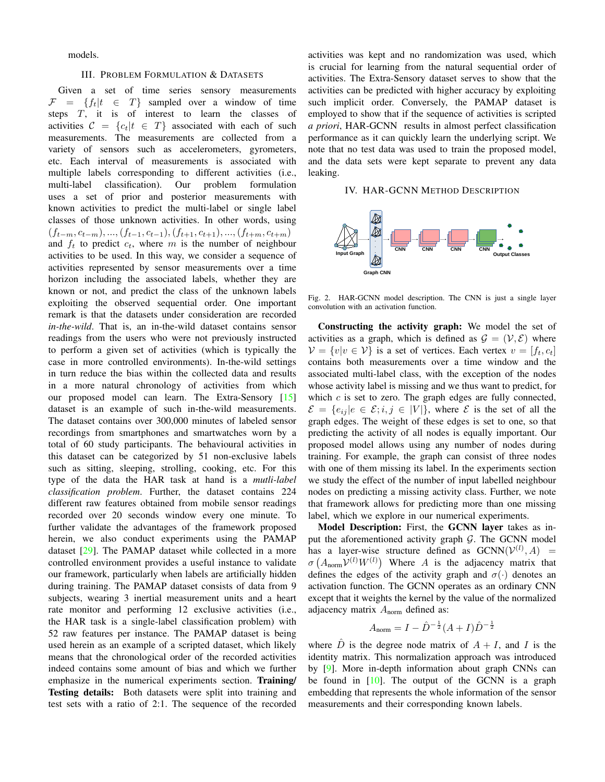<span id="page-2-1"></span>models.

#### III. PROBLEM FORMULATION & DATASETS

Given a set of time series sensory measurements  $\mathcal{F} = \{f_t | t \in T\}$  sampled over a window of time steps  $T$ , it is of interest to learn the classes of activities  $C = \{c_t | t \in T\}$  associated with each of such measurements. The measurements are collected from a variety of sensors such as accelerometers, gyrometers, etc. Each interval of measurements is associated with multiple labels corresponding to different activities (i.e., multi-label classification). Our problem formulation uses a set of prior and posterior measurements with known activities to predict the multi-label or single label classes of those unknown activities. In other words, using  $(f_{t-m}, c_{t-m}), ..., (f_{t-1}, c_{t-1}), (f_{t+1}, c_{t+1}), ..., (f_{t+m}, c_{t+m})$ and  $f_t$  to predict  $c_t$ , where m is the number of neighbour activities to be used. In this way, we consider a sequence of activities represented by sensor measurements over a time horizon including the associated labels, whether they are known or not, and predict the class of the unknown labels exploiting the observed sequential order. One important remark is that the datasets under consideration are recorded *in-the-wild*. That is, an in-the-wild dataset contains sensor readings from the users who were not previously instructed to perform a given set of activities (which is typically the case in more controlled environments). In-the-wild settings in turn reduce the bias within the collected data and results in a more natural chronology of activities from which our proposed model can learn. The Extra-Sensory [\[15\]](#page-5-14) dataset is an example of such in-the-wild measurements. The dataset contains over 300,000 minutes of labeled sensor recordings from smartphones and smartwatches worn by a total of 60 study participants. The behavioural activities in this dataset can be categorized by 51 non-exclusive labels such as sitting, sleeping, strolling, cooking, etc. For this type of the data the HAR task at hand is a *mutli-label classification problem*. Further, the dataset contains 224 different raw features obtained from mobile sensor readings recorded over 20 seconds window every one minute. To further validate the advantages of the framework proposed herein, we also conduct experiments using the PAMAP dataset [\[29\]](#page-5-24). The PAMAP dataset while collected in a more controlled environment provides a useful instance to validate our framework, particularly when labels are artificially hidden during training. The PAMAP dataset consists of data from 9 subjects, wearing 3 inertial measurement units and a heart rate monitor and performing 12 exclusive activities (i.e., the HAR task is a single-label classification problem) with 52 raw features per instance. The PAMAP dataset is being used herein as an example of a scripted dataset, which likely means that the chronological order of the recorded activities indeed contains some amount of bias and which we further emphasize in the numerical experiments section. Training/ Testing details: Both datasets were split into training and test sets with a ratio of 2:1. The sequence of the recorded

activities was kept and no randomization was used, which is crucial for learning from the natural sequential order of activities. The Extra-Sensory dataset serves to show that the activities can be predicted with higher accuracy by exploiting such implicit order. Conversely, the PAMAP dataset is employed to show that if the sequence of activities is scripted *a priori*, HAR-GCNN results in almost perfect classification performance as it can quickly learn the underlying script. We note that no test data was used to train the proposed model, and the data sets were kept separate to prevent any data leaking.

# IV. HAR-GCNN METHOD DESCRIPTION



<span id="page-2-0"></span>Fig. 2. HAR-GCNN model description. The CNN is just a single layer convolution with an activation function.

Constructing the activity graph: We model the set of activities as a graph, which is defined as  $\mathcal{G} = (\mathcal{V}, \mathcal{E})$  where  $V = \{v|v \in V\}$  is a set of vertices. Each vertex  $v = [f_t, c_t]$ contains both measurements over a time window and the associated multi-label class, with the exception of the nodes whose activity label is missing and we thus want to predict, for which  $c$  is set to zero. The graph edges are fully connected,  $\mathcal{E} = \{e_{ij} | e \in \mathcal{E}; i, j \in |V| \}$ , where  $\mathcal{E}$  is the set of all the graph edges. The weight of these edges is set to one, so that predicting the activity of all nodes is equally important. Our proposed model allows using any number of nodes during training. For example, the graph can consist of three nodes with one of them missing its label. In the experiments section we study the effect of the number of input labelled neighbour nodes on predicting a missing activity class. Further, we note that framework allows for predicting more than one missing label, which we explore in our numerical experiments.

Model Description: First, the GCNN layer takes as input the aforementioned activity graph  $G$ . The GCNN model has a layer-wise structure defined as  $GCNN(V^{(l)}, A)$  =  $\sigma(A_{\text{norm}}V^{(l)}W^{(l)})$  Where A is the adjacency matrix that defines the edges of the activity graph and  $\sigma(\cdot)$  denotes an activation function. The GCNN operates as an ordinary CNN except that it weights the kernel by the value of the normalized adjacency matrix  $A_{\text{norm}}$  defined as:

$$
A_{\text{norm}} = I - \hat{D}^{-\frac{1}{2}} (A + I) \hat{D}^{-\frac{1}{2}}
$$

where  $\hat{D}$  is the degree node matrix of  $A + I$ , and I is the identity matrix. This normalization approach was introduced by [\[9\]](#page-5-8). More in-depth information about graph CNNs can be found in [\[10\]](#page-5-9). The output of the GCNN is a graph embedding that represents the whole information of the sensor measurements and their corresponding known labels.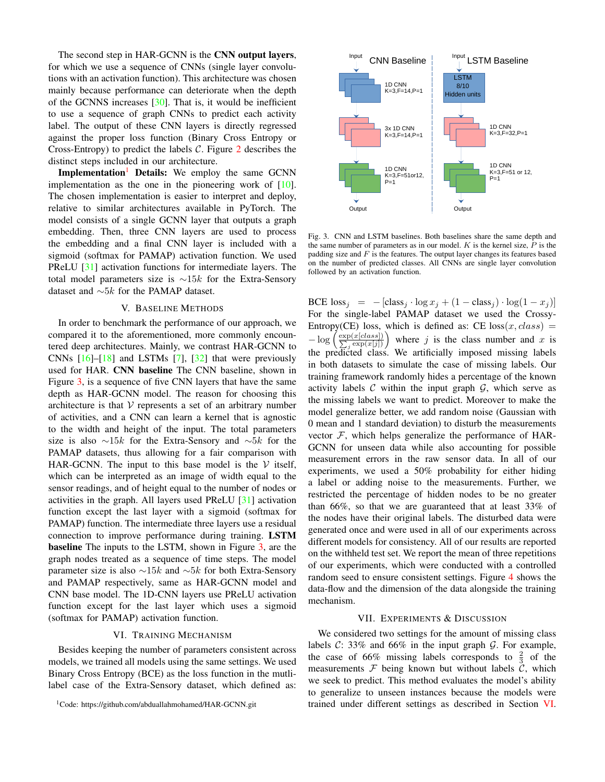<span id="page-3-3"></span>The second step in HAR-GCNN is the CNN output layers, for which we use a sequence of CNNs (single layer convolutions with an activation function). This architecture was chosen mainly because performance can deteriorate when the depth of the GCNNS increases [\[30\]](#page-5-25). That is, it would be inefficient to use a sequence of graph CNNs to predict each activity label. The output of these CNN layers is directly regressed against the proper loss function (Binary Cross Entropy or Cross-Entropy) to predict the labels  $C$ . Figure [2](#page-2-0) describes the distinct steps included in our architecture.

Implementation<sup>[1](#page-3-0)</sup> Details: We employ the same GCNN implementation as the one in the pioneering work of  $[10]$ . The chosen implementation is easier to interpret and deploy, relative to similar architectures available in PyTorch. The model consists of a single GCNN layer that outputs a graph embedding. Then, three CNN layers are used to process the embedding and a final CNN layer is included with a sigmoid (softmax for PAMAP) activation function. We used PReLU [\[31\]](#page-5-26) activation functions for intermediate layers. The total model parameters size is  $\sim 15k$  for the Extra-Sensory dataset and  $\sim 5k$  for the PAMAP dataset.

#### V. BASELINE METHODS

In order to benchmark the performance of our approach, we compared it to the aforementioned, more commonly encountered deep architectures. Mainly, we contrast HAR-GCNN to CNNs  $[16]$ – $[18]$  and LSTMs  $[7]$ ,  $[32]$  that were previously used for HAR. CNN baseline The CNN baseline, shown in Figure [3,](#page-3-1) is a sequence of five CNN layers that have the same depth as HAR-GCNN model. The reason for choosing this architecture is that  $V$  represents a set of an arbitrary number of activities, and a CNN can learn a kernel that is agnostic to the width and height of the input. The total parameters size is also ∼15k for the Extra-Sensory and ∼5k for the PAMAP datasets, thus allowing for a fair comparison with HAR-GCNN. The input to this base model is the  $V$  itself, which can be interpreted as an image of width equal to the sensor readings, and of height equal to the number of nodes or activities in the graph. All layers used PReLU [\[31\]](#page-5-26) activation function except the last layer with a sigmoid (softmax for PAMAP) function. The intermediate three layers use a residual connection to improve performance during training. LSTM **baseline** The inputs to the LSTM, shown in Figure [3,](#page-3-1) are the graph nodes treated as a sequence of time steps. The model parameter size is also  $\sim$ 15k and  $\sim$ 5k for both Extra-Sensory and PAMAP respectively, same as HAR-GCNN model and CNN base model. The 1D-CNN layers use PReLU activation function except for the last layer which uses a sigmoid (softmax for PAMAP) activation function.

# VI. TRAINING MECHANISM

<span id="page-3-2"></span>Besides keeping the number of parameters consistent across models, we trained all models using the same settings. We used Binary Cross Entropy (BCE) as the loss function in the mutlilabel case of the Extra-Sensory dataset, which defined as:

<span id="page-3-0"></span><sup>1</sup>Code: https://github.com/abduallahmohamed/HAR-GCNN.git



<span id="page-3-1"></span>Fig. 3. CNN and LSTM baselines. Both baselines share the same depth and the same number of parameters as in our model.  $K$  is the kernel size,  $P$  is the padding size and  $F$  is the features. The output layer changes its features based on the number of predicted classes. All CNNs are single layer convolution followed by an activation function.

BCE  $\text{loss}_i = -[\text{class}_i \cdot \log x_i + (1 - \text{class}_i) \cdot \log(1 - x_i)]$ For the single-label PAMAP dataset we used the Crossy-Entropy(CE) loss, which is defined as: CE  $loss(x, class)$  =  $-\log$  $\frac{\exp(x[class])}{\sum_i \exp(x[j])}$  $\sum_{j} \exp(x[j])$ where  $j$  is the class number and  $x$  is the predicted class. We artificially imposed missing labels in both datasets to simulate the case of missing labels. Our training framework randomly hides a percentage of the known activity labels  $C$  within the input graph  $G$ , which serve as the missing labels we want to predict. Moreover to make the model generalize better, we add random noise (Gaussian with 0 mean and 1 standard deviation) to disturb the measurements vector  $F$ , which helps generalize the performance of HAR-GCNN for unseen data while also accounting for possible measurement errors in the raw sensor data. In all of our experiments, we used a 50% probability for either hiding a label or adding noise to the measurements. Further, we restricted the percentage of hidden nodes to be no greater than 66%, so that we are guaranteed that at least 33% of the nodes have their original labels. The disturbed data were generated once and were used in all of our experiments across different models for consistency. All of our results are reported on the withheld test set. We report the mean of three repetitions of our experiments, which were conducted with a controlled random seed to ensure consistent settings. Figure [4](#page-4-0) shows the data-flow and the dimension of the data alongside the training mechanism.

#### VII. EXPERIMENTS & DISCUSSION

We considered two settings for the amount of missing class labels  $C: 33\%$  and  $66\%$  in the input graph  $G$ . For example, the case of 66% missing labels corresponds to  $\frac{2}{3}$  of the measurements  $\mathcal F$  being known but without labels  $\mathcal C$ , which we seek to predict. This method evaluates the model's ability to generalize to unseen instances because the models were trained under different settings as described in Section [VI.](#page-3-2)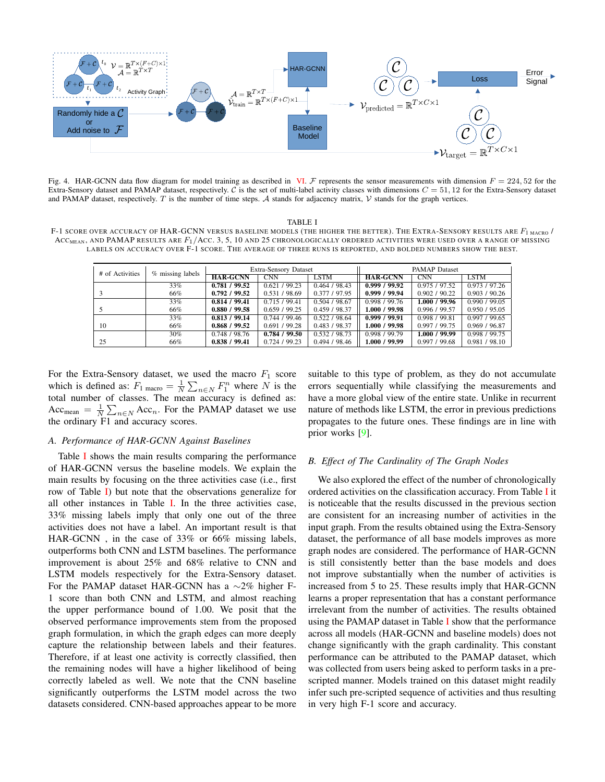<span id="page-4-2"></span>

<span id="page-4-0"></span>Fig. 4. HAR-GCNN data flow diagram for model training as described in [VI.](#page-3-2) F represents the sensor measurements with dimension  $F = 224, 52$  for the Extra-Sensory dataset and PAMAP dataset, respectively.  $\overline{C}$  is the set of multi-label activity classes with dimensions  $C = 51, 12$  for the Extra-Sensory dataset and PAMAP dataset, respectively. T is the number of time steps. A stands for adjacency matrix,  $\mathcal V$  stands for the graph vertices.

TABLE I

<span id="page-4-1"></span>F-1 SCORE OVER ACCURACY OF HAR-GCNN VERSUS BASELINE MODELS (THE HIGHER THE BETTER). THE EXTRA-SENSORY RESULTS ARE  $F_{1 \text{ MacRO}}/$  $Acc<sub>mean</sub>$ , and PAMAP results are  $F_1/$ Acc. 3, 5, 10 and 25 chronologically ordered activities were used over a range of missing LABELS ON ACCURACY OVER F-1 SCORE. THE AVERAGE OF THREE RUNS IS REPORTED, AND BOLDED NUMBERS SHOW THE BEST.

| # of Activities | % missing labels | <b>Extra-Sensory Dataset</b> |               |               | <b>PAMAP</b> Dataset |               |                            |
|-----------------|------------------|------------------------------|---------------|---------------|----------------------|---------------|----------------------------|
|                 |                  | <b>HAR-GCNN</b>              | <b>CNN</b>    | LSTM          | <b>HAR-GCNN</b>      | <b>CNN</b>    | LSTM                       |
|                 | 33%              | 0.781 / 99.52                | 0.621 / 99.23 | 0.464 / 98.43 | 0.999 / 99.92        | 0.975/97.52   | $\overline{0.973}$ / 97.26 |
|                 | 66%              | 0.792 / 99.52                | 0.531 / 98.69 | 0.377 / 97.95 | 0.999 / 99.94        | 0.902 / 90.22 | 0.903 / 90.26              |
|                 | 33%              | 0.814 / 99.41                | 0.715/99.41   | 0.504 / 98.67 | 0.998 / 99.76        | 1.000 / 99.96 | 0.990 / 99.05              |
|                 | 66%              | 0.880 / 99.58                | 0.659/99.25   | 0.459 / 98.37 | 1.000 / 99.98        | 0.996 / 99.57 | 0.950 / 95.05              |
|                 | 33%              | 0.813 / 99.14                | 0.744/99.46   | 0.522/98.64   | 0.999 / 99.91        | 0.998 / 99.81 | 0.997 / 99.65              |
| 10              | 66%              | 0.868 / 99.52                | 0.691 / 99.28 | 0.483 / 98.37 | 1.000 / 99.98        | 0.997 / 99.75 | 0.969 / 96.87              |
|                 | 30%              | 0.748 / 98.76                | 0.784 / 99.50 | 0.532 / 98.73 | 0.998 / 99.79        | 1.000 / 99.99 | 0.998 / 99.75              |
| 25              | 66%              | 0.838 / 99.41                | 0.724/99.23   | 0.494 / 98.46 | 1.000 / 99.99        | 0.997 / 99.68 | 0.981 / 98.10              |

For the Extra-Sensory dataset, we used the macro  $F_1$  score which is defined as:  $F_1$  macro  $=$   $\frac{1}{N} \sum_{n \in N} F_1^n$  where N is the total number of classes. The mean accuracy is defined as: Acc<sub>mean</sub> =  $\frac{1}{N} \sum_{n \in N}$  Acc<sub>n</sub>. For the PAMAP dataset we use the ordinary F1 and accuracy scores.

# *A. Performance of HAR-GCNN Against Baselines*

Table [I](#page-4-1) shows the main results comparing the performance of HAR-GCNN versus the baseline models. We explain the main results by focusing on the three activities case (i.e., first row of Table [I\)](#page-4-1) but note that the observations generalize for all other instances in Table [I.](#page-4-1) In the three activities case, 33% missing labels imply that only one out of the three activities does not have a label. An important result is that HAR-GCNN , in the case of 33% or 66% missing labels, outperforms both CNN and LSTM baselines. The performance improvement is about 25% and 68% relative to CNN and LSTM models respectively for the Extra-Sensory dataset. For the PAMAP dataset HAR-GCNN has a ∼2% higher F-1 score than both CNN and LSTM, and almost reaching the upper performance bound of 1.00. We posit that the observed performance improvements stem from the proposed graph formulation, in which the graph edges can more deeply capture the relationship between labels and their features. Therefore, if at least one activity is correctly classified, then the remaining nodes will have a higher likelihood of being correctly labeled as well. We note that the CNN baseline significantly outperforms the LSTM model across the two datasets considered. CNN-based approaches appear to be more

suitable to this type of problem, as they do not accumulate errors sequentially while classifying the measurements and have a more global view of the entire state. Unlike in recurrent nature of methods like LSTM, the error in previous predictions propagates to the future ones. These findings are in line with prior works [\[9\]](#page-5-8).

# *B. Effect of The Cardinality of The Graph Nodes*

We also explored the effect of the number of chronologically ordered activities on the classification accuracy. From Table [I](#page-4-1) it is noticeable that the results discussed in the previous section are consistent for an increasing number of activities in the input graph. From the results obtained using the Extra-Sensory dataset, the performance of all base models improves as more graph nodes are considered. The performance of HAR-GCNN is still consistently better than the base models and does not improve substantially when the number of activities is increased from 5 to 25. These results imply that HAR-GCNN learns a proper representation that has a constant performance irrelevant from the number of activities. The results obtained using the PAMAP dataset in Table [I](#page-4-1) show that the performance across all models (HAR-GCNN and baseline models) does not change significantly with the graph cardinality. This constant performance can be attributed to the PAMAP dataset, which was collected from users being asked to perform tasks in a prescripted manner. Models trained on this dataset might readily infer such pre-scripted sequence of activities and thus resulting in very high F-1 score and accuracy.